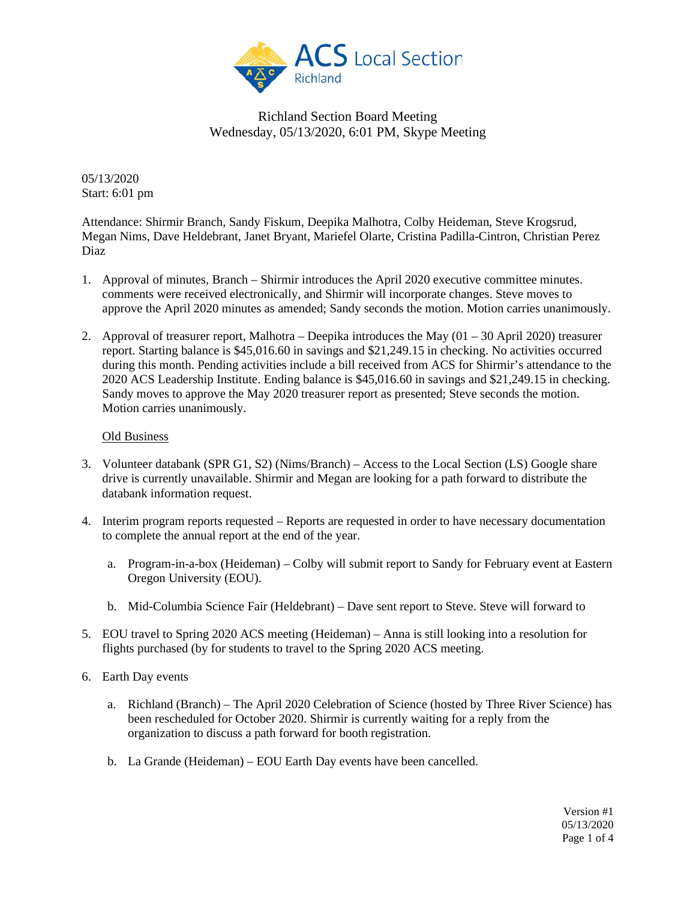

05/13/2020 Start: 6:01 pm

Attendance: Shirmir Branch, Sandy Fiskum, Deepika Malhotra, Colby Heideman, Steve Krogsrud, Megan Nims, Dave Heldebrant, Janet Bryant, Mariefel Olarte, Cristina Padilla-Cintron, Christian Perez Diaz

- 1. Approval of minutes, Branch Shirmir introduces the April 2020 executive committee minutes. comments were received electronically, and Shirmir will incorporate changes. Steve moves to approve the April 2020 minutes as amended; Sandy seconds the motion. Motion carries unanimously.
- 2. Approval of treasurer report, Malhotra Deepika introduces the May (01 30 April 2020) treasurer report. Starting balance is \$45,016.60 in savings and \$21,249.15 in checking. No activities occurred during this month. Pending activities include a bill received from ACS for Shirmir's attendance to the 2020 ACS Leadership Institute. Ending balance is \$45,016.60 in savings and \$21,249.15 in checking. Sandy moves to approve the May 2020 treasurer report as presented; Steve seconds the motion. Motion carries unanimously.

#### Old Business

- 3. Volunteer databank (SPR G1, S2) (Nims/Branch) Access to the Local Section (LS) Google share drive is currently unavailable. Shirmir and Megan are looking for a path forward to distribute the databank information request.
- 4. Interim program reports requested Reports are requested in order to have necessary documentation to complete the annual report at the end of the year.
	- a. Program-in-a-box (Heideman) Colby will submit report to Sandy for February event at Eastern Oregon University (EOU).
	- b. Mid-Columbia Science Fair (Heldebrant) Dave sent report to Steve. Steve will forward to
- 5. EOU travel to Spring 2020 ACS meeting (Heideman) Anna is still looking into a resolution for flights purchased (by for students to travel to the Spring 2020 ACS meeting.
- 6. Earth Day events
	- a. Richland (Branch) The April 2020 Celebration of Science (hosted by Three River Science) has been rescheduled for October 2020. Shirmir is currently waiting for a reply from the organization to discuss a path forward for booth registration.
	- b. La Grande (Heideman) EOU Earth Day events have been cancelled.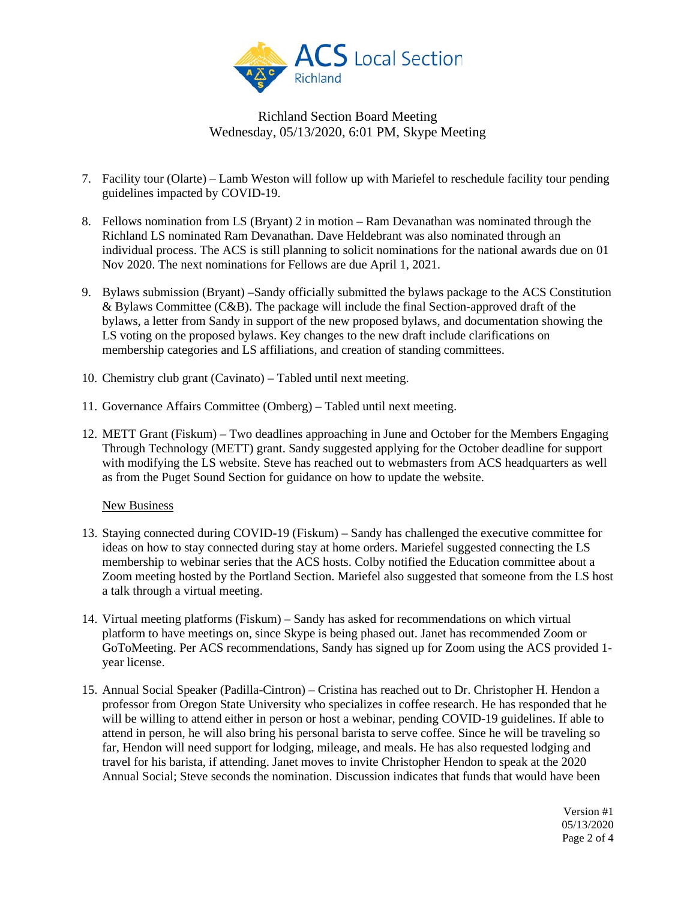

- 7. Facility tour (Olarte) Lamb Weston will follow up with Mariefel to reschedule facility tour pending guidelines impacted by COVID-19.
- 8. Fellows nomination from LS (Bryant) 2 in motion Ram Devanathan was nominated through the Richland LS nominated Ram Devanathan. Dave Heldebrant was also nominated through an individual process. The ACS is still planning to solicit nominations for the national awards due on 01 Nov 2020. The next nominations for Fellows are due April 1, 2021.
- 9. Bylaws submission (Bryant) –Sandy officially submitted the bylaws package to the ACS Constitution & Bylaws Committee (C&B). The package will include the final Section-approved draft of the bylaws, a letter from Sandy in support of the new proposed bylaws, and documentation showing the LS voting on the proposed bylaws. Key changes to the new draft include clarifications on membership categories and LS affiliations, and creation of standing committees.
- 10. Chemistry club grant (Cavinato) Tabled until next meeting.
- 11. Governance Affairs Committee (Omberg) Tabled until next meeting.
- 12. METT Grant (Fiskum) Two deadlines approaching in June and October for the Members Engaging Through Technology (METT) grant. Sandy suggested applying for the October deadline for support with modifying the LS website. Steve has reached out to webmasters from ACS headquarters as well as from the Puget Sound Section for guidance on how to update the website.

#### **New Business**

- 13. Staying connected during COVID-19 (Fiskum) Sandy has challenged the executive committee for ideas on how to stay connected during stay at home orders. Mariefel suggested connecting the LS membership to webinar series that the ACS hosts. Colby notified the Education committee about a Zoom meeting hosted by the Portland Section. Mariefel also suggested that someone from the LS host a talk through a virtual meeting.
- 14. Virtual meeting platforms (Fiskum) Sandy has asked for recommendations on which virtual platform to have meetings on, since Skype is being phased out. Janet has recommended Zoom or GoToMeeting. Per ACS recommendations, Sandy has signed up for Zoom using the ACS provided 1 year license.
- 15. Annual Social Speaker (Padilla-Cintron) Cristina has reached out to Dr. Christopher H. Hendon a professor from Oregon State University who specializes in coffee research. He has responded that he will be willing to attend either in person or host a webinar, pending COVID-19 guidelines. If able to attend in person, he will also bring his personal barista to serve coffee. Since he will be traveling so far, Hendon will need support for lodging, mileage, and meals. He has also requested lodging and travel for his barista, if attending. Janet moves to invite Christopher Hendon to speak at the 2020 Annual Social; Steve seconds the nomination. Discussion indicates that funds that would have been

Version #1 05/13/2020 Page 2 of 4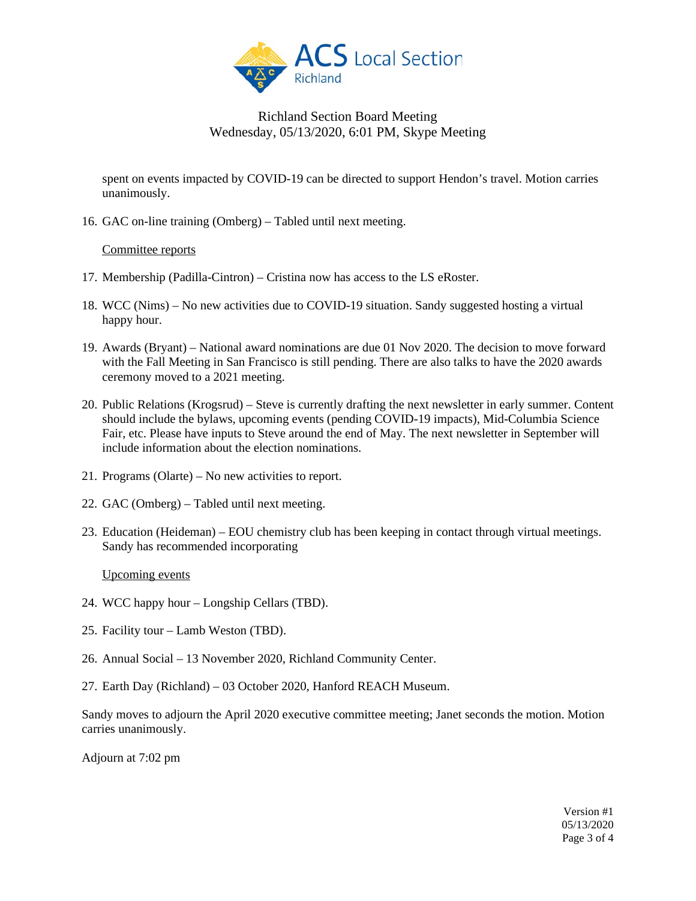

spent on events impacted by COVID-19 can be directed to support Hendon's travel. Motion carries unanimously.

16. GAC on-line training (Omberg) – Tabled until next meeting.

#### Committee reports

- 17. Membership (Padilla-Cintron) Cristina now has access to the LS eRoster.
- 18. WCC (Nims) No new activities due to COVID-19 situation. Sandy suggested hosting a virtual happy hour.
- 19. Awards (Bryant) National award nominations are due 01 Nov 2020. The decision to move forward with the Fall Meeting in San Francisco is still pending. There are also talks to have the 2020 awards ceremony moved to a 2021 meeting.
- 20. Public Relations (Krogsrud) Steve is currently drafting the next newsletter in early summer. Content should include the bylaws, upcoming events (pending COVID-19 impacts), Mid-Columbia Science Fair, etc. Please have inputs to Steve around the end of May. The next newsletter in September will include information about the election nominations.
- 21. Programs (Olarte) No new activities to report.
- 22. GAC (Omberg) Tabled until next meeting.
- 23. Education (Heideman) EOU chemistry club has been keeping in contact through virtual meetings. Sandy has recommended incorporating

#### Upcoming events

- 24. WCC happy hour Longship Cellars (TBD).
- 25. Facility tour Lamb Weston (TBD).
- 26. Annual Social 13 November 2020, Richland Community Center.
- 27. Earth Day (Richland) 03 October 2020, Hanford REACH Museum.

Sandy moves to adjourn the April 2020 executive committee meeting; Janet seconds the motion. Motion carries unanimously.

Adjourn at 7:02 pm